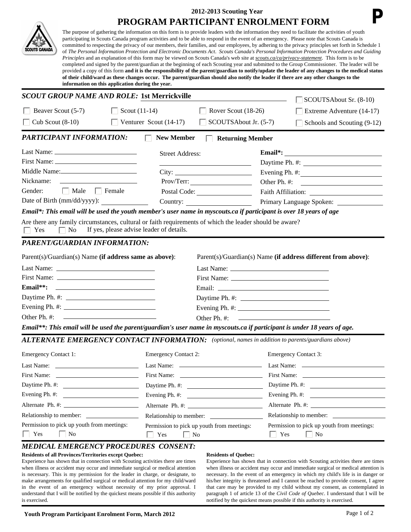|                             | 2012-2013 Scouting Year                                                                                                                                                                                                                                                                                                                                                                                                                                                                                                                                                                                                                                                                                                                                                                                                                                                                                                                                                                                                                                                                                                                                                                                                                                                                      |                                                                                                                                                                                                                                                                           |                                                                                                                                                                                                                                     |                                          |                                                                                                                                                                                                                                                                                                                                                                                                                                                                                    |  |  |
|-----------------------------|----------------------------------------------------------------------------------------------------------------------------------------------------------------------------------------------------------------------------------------------------------------------------------------------------------------------------------------------------------------------------------------------------------------------------------------------------------------------------------------------------------------------------------------------------------------------------------------------------------------------------------------------------------------------------------------------------------------------------------------------------------------------------------------------------------------------------------------------------------------------------------------------------------------------------------------------------------------------------------------------------------------------------------------------------------------------------------------------------------------------------------------------------------------------------------------------------------------------------------------------------------------------------------------------|---------------------------------------------------------------------------------------------------------------------------------------------------------------------------------------------------------------------------------------------------------------------------|-------------------------------------------------------------------------------------------------------------------------------------------------------------------------------------------------------------------------------------|------------------------------------------|------------------------------------------------------------------------------------------------------------------------------------------------------------------------------------------------------------------------------------------------------------------------------------------------------------------------------------------------------------------------------------------------------------------------------------------------------------------------------------|--|--|
|                             | PROGRAM PARTICIPANT ENROLMENT FORM<br>The purpose of gathering the information on this form is to provide leaders with the information they need to facilitate the activities of youth<br>participating in Scouts Canada program activities and to be able to respond in the event of an emergency. Please note that Scouts Canada is<br>committed to respecting the privacy of our members, their families, and our employees, by adhering to the privacy principles set forth in Schedule 1<br>of The Personal Information Protection and Electronic Documents Act. Scouts Canada's Personal Information Protection Procedures and Guiding<br>Principles and an explanation of this form may be viewed on Scouts Canada's web site at scouts.ca/ca/privacy-statement. This form is to be<br>completed and signed by the parent/guardian at the beginning of each Scouting year and submitted to the Group Commissioner. The leader will be<br>provided a copy of this form and it is the responsibility of the parent/guardian to notify/update the leader of any changes to the medical status<br>of their child/ward as these changes occur. The parent/guardian should also notify the leader if there are any other changes to the<br>information on this application during the year. |                                                                                                                                                                                                                                                                           |                                                                                                                                                                                                                                     |                                          |                                                                                                                                                                                                                                                                                                                                                                                                                                                                                    |  |  |
| <b>SCOUTS CANADA</b>        |                                                                                                                                                                                                                                                                                                                                                                                                                                                                                                                                                                                                                                                                                                                                                                                                                                                                                                                                                                                                                                                                                                                                                                                                                                                                                              |                                                                                                                                                                                                                                                                           |                                                                                                                                                                                                                                     |                                          |                                                                                                                                                                                                                                                                                                                                                                                                                                                                                    |  |  |
|                             |                                                                                                                                                                                                                                                                                                                                                                                                                                                                                                                                                                                                                                                                                                                                                                                                                                                                                                                                                                                                                                                                                                                                                                                                                                                                                              | <b>SCOUT GROUP NAME AND ROLE: 1st Merrickville</b>                                                                                                                                                                                                                        |                                                                                                                                                                                                                                     |                                          | SCOUTSAbout Sr. (8-10)                                                                                                                                                                                                                                                                                                                                                                                                                                                             |  |  |
| Beaver Scout (5-7)          | $\mathbf{L}$                                                                                                                                                                                                                                                                                                                                                                                                                                                                                                                                                                                                                                                                                                                                                                                                                                                                                                                                                                                                                                                                                                                                                                                                                                                                                 | Scout $(11-14)$                                                                                                                                                                                                                                                           | Rover Scout (18-26)                                                                                                                                                                                                                 |                                          | Extreme Adventure (14-17)                                                                                                                                                                                                                                                                                                                                                                                                                                                          |  |  |
| Cub Scout $(8-10)$          |                                                                                                                                                                                                                                                                                                                                                                                                                                                                                                                                                                                                                                                                                                                                                                                                                                                                                                                                                                                                                                                                                                                                                                                                                                                                                              | Venturer Scout (14-17)                                                                                                                                                                                                                                                    | SCOUTSAbout Jr. (5-7)                                                                                                                                                                                                               |                                          | Schools and Scouting (9-12)                                                                                                                                                                                                                                                                                                                                                                                                                                                        |  |  |
|                             | <b>PARTICIPANT INFORMATION:</b>                                                                                                                                                                                                                                                                                                                                                                                                                                                                                                                                                                                                                                                                                                                                                                                                                                                                                                                                                                                                                                                                                                                                                                                                                                                              | <b>New Member</b>                                                                                                                                                                                                                                                         | <b>Returning Member</b>                                                                                                                                                                                                             |                                          |                                                                                                                                                                                                                                                                                                                                                                                                                                                                                    |  |  |
|                             | Last Name:                                                                                                                                                                                                                                                                                                                                                                                                                                                                                                                                                                                                                                                                                                                                                                                                                                                                                                                                                                                                                                                                                                                                                                                                                                                                                   | <b>Street Address:</b>                                                                                                                                                                                                                                                    |                                                                                                                                                                                                                                     |                                          | $\noindent \textbf{Email*:}\n\textbf{\textit{---}}\n\textbf{\textit{---}}\n\textbf{\textit{---}}\n\textbf{\textit{---}}\n\textbf{\textit{---}}\n\textbf{\textit{---}}\n\textbf{\textit{---}}\n\textbf{\textit{---}}\n\textbf{\textit{---}}\n\textbf{\textit{---}}\n\textbf{\textit{---}}\n\textbf{\textit{---}}\n\textbf{\textit{---}}\n\textbf{\textit{---}}\n\textbf{\textit{---}}\n\textbf{\textit{---}}\n\textbf{\textit{---}}\n\textbf{\textit{---}}\n\textbf{\textit{---}}\$ |  |  |
|                             |                                                                                                                                                                                                                                                                                                                                                                                                                                                                                                                                                                                                                                                                                                                                                                                                                                                                                                                                                                                                                                                                                                                                                                                                                                                                                              |                                                                                                                                                                                                                                                                           | <u> 1980 - Johann Barn, mars ann an t-Amhain Aonaich an t-Aonaich an t-Aonaich ann an t-Aonaich ann an t-Aonaich</u>                                                                                                                |                                          |                                                                                                                                                                                                                                                                                                                                                                                                                                                                                    |  |  |
|                             |                                                                                                                                                                                                                                                                                                                                                                                                                                                                                                                                                                                                                                                                                                                                                                                                                                                                                                                                                                                                                                                                                                                                                                                                                                                                                              |                                                                                                                                                                                                                                                                           |                                                                                                                                                                                                                                     |                                          | Evening Ph. $\#$ :                                                                                                                                                                                                                                                                                                                                                                                                                                                                 |  |  |
| Nickname:                   |                                                                                                                                                                                                                                                                                                                                                                                                                                                                                                                                                                                                                                                                                                                                                                                                                                                                                                                                                                                                                                                                                                                                                                                                                                                                                              |                                                                                                                                                                                                                                                                           | Prov/Terr:                                                                                                                                                                                                                          |                                          |                                                                                                                                                                                                                                                                                                                                                                                                                                                                                    |  |  |
|                             | $\Box$ Male $\Box$ Female                                                                                                                                                                                                                                                                                                                                                                                                                                                                                                                                                                                                                                                                                                                                                                                                                                                                                                                                                                                                                                                                                                                                                                                                                                                                    |                                                                                                                                                                                                                                                                           | Postal Code:                                                                                                                                                                                                                        |                                          |                                                                                                                                                                                                                                                                                                                                                                                                                                                                                    |  |  |
| Gender:                     |                                                                                                                                                                                                                                                                                                                                                                                                                                                                                                                                                                                                                                                                                                                                                                                                                                                                                                                                                                                                                                                                                                                                                                                                                                                                                              |                                                                                                                                                                                                                                                                           |                                                                                                                                                                                                                                     | Primary Language Spoken: _______________ |                                                                                                                                                                                                                                                                                                                                                                                                                                                                                    |  |  |
|                             |                                                                                                                                                                                                                                                                                                                                                                                                                                                                                                                                                                                                                                                                                                                                                                                                                                                                                                                                                                                                                                                                                                                                                                                                                                                                                              |                                                                                                                                                                                                                                                                           |                                                                                                                                                                                                                                     |                                          |                                                                                                                                                                                                                                                                                                                                                                                                                                                                                    |  |  |
| Yes                         | $\Box$ No                                                                                                                                                                                                                                                                                                                                                                                                                                                                                                                                                                                                                                                                                                                                                                                                                                                                                                                                                                                                                                                                                                                                                                                                                                                                                    | Email*: This email will be used the youth member's user name in myscouts.ca if participant is over 18 years of age<br>Are there any family circumstances, cultural or faith requirements of which the leader should be aware?<br>If yes, please advise leader of details. | Country:                                                                                                                                                                                                                            |                                          |                                                                                                                                                                                                                                                                                                                                                                                                                                                                                    |  |  |
|                             | PARENT/GUARDIAN INFORMATION:<br>Parent(s)/Guardian(s) Name (if address same as above):                                                                                                                                                                                                                                                                                                                                                                                                                                                                                                                                                                                                                                                                                                                                                                                                                                                                                                                                                                                                                                                                                                                                                                                                       |                                                                                                                                                                                                                                                                           |                                                                                                                                                                                                                                     |                                          | Parent(s)/Guardian(s) Name (if address different from above):                                                                                                                                                                                                                                                                                                                                                                                                                      |  |  |
|                             |                                                                                                                                                                                                                                                                                                                                                                                                                                                                                                                                                                                                                                                                                                                                                                                                                                                                                                                                                                                                                                                                                                                                                                                                                                                                                              |                                                                                                                                                                                                                                                                           |                                                                                                                                                                                                                                     |                                          |                                                                                                                                                                                                                                                                                                                                                                                                                                                                                    |  |  |
|                             | First Name: The Second Second Second Second Second Second Second Second Second Second Second Second Second Second Second Second Second Second Second Second Second Second Second Second Second Second Second Second Second Sec                                                                                                                                                                                                                                                                                                                                                                                                                                                                                                                                                                                                                                                                                                                                                                                                                                                                                                                                                                                                                                                               |                                                                                                                                                                                                                                                                           |                                                                                                                                                                                                                                     |                                          |                                                                                                                                                                                                                                                                                                                                                                                                                                                                                    |  |  |
| $Email**:$                  | <u> 1989 - Johann Stein, mars and de Brandenburg and de Brandenburg and de Brandenburg and de Brandenburg and de</u>                                                                                                                                                                                                                                                                                                                                                                                                                                                                                                                                                                                                                                                                                                                                                                                                                                                                                                                                                                                                                                                                                                                                                                         |                                                                                                                                                                                                                                                                           | Email: <u>Email:</u> All and the second service of the service of the service of the service of the service of the service of the service of the service of the service of the service of the service of the service of the service |                                          |                                                                                                                                                                                                                                                                                                                                                                                                                                                                                    |  |  |
|                             |                                                                                                                                                                                                                                                                                                                                                                                                                                                                                                                                                                                                                                                                                                                                                                                                                                                                                                                                                                                                                                                                                                                                                                                                                                                                                              |                                                                                                                                                                                                                                                                           |                                                                                                                                                                                                                                     |                                          |                                                                                                                                                                                                                                                                                                                                                                                                                                                                                    |  |  |
|                             |                                                                                                                                                                                                                                                                                                                                                                                                                                                                                                                                                                                                                                                                                                                                                                                                                                                                                                                                                                                                                                                                                                                                                                                                                                                                                              |                                                                                                                                                                                                                                                                           | Evening Ph. #:                                                                                                                                                                                                                      |                                          |                                                                                                                                                                                                                                                                                                                                                                                                                                                                                    |  |  |
| Other Ph. #:                |                                                                                                                                                                                                                                                                                                                                                                                                                                                                                                                                                                                                                                                                                                                                                                                                                                                                                                                                                                                                                                                                                                                                                                                                                                                                                              |                                                                                                                                                                                                                                                                           | Other Ph. #:                                                                                                                                                                                                                        |                                          |                                                                                                                                                                                                                                                                                                                                                                                                                                                                                    |  |  |
|                             |                                                                                                                                                                                                                                                                                                                                                                                                                                                                                                                                                                                                                                                                                                                                                                                                                                                                                                                                                                                                                                                                                                                                                                                                                                                                                              | Email**: This email will be used the parent/guardian's user name in myscouts.ca if participant is under 18 years of age.                                                                                                                                                  |                                                                                                                                                                                                                                     |                                          |                                                                                                                                                                                                                                                                                                                                                                                                                                                                                    |  |  |
|                             |                                                                                                                                                                                                                                                                                                                                                                                                                                                                                                                                                                                                                                                                                                                                                                                                                                                                                                                                                                                                                                                                                                                                                                                                                                                                                              | <b>ALTERNATE EMERGENCY CONTACT INFORMATION:</b> (optional, names in addition to parents/guardians above)                                                                                                                                                                  |                                                                                                                                                                                                                                     |                                          |                                                                                                                                                                                                                                                                                                                                                                                                                                                                                    |  |  |
| <b>Emergency Contact 1:</b> |                                                                                                                                                                                                                                                                                                                                                                                                                                                                                                                                                                                                                                                                                                                                                                                                                                                                                                                                                                                                                                                                                                                                                                                                                                                                                              | <b>Emergency Contact 2:</b>                                                                                                                                                                                                                                               |                                                                                                                                                                                                                                     |                                          | <b>Emergency Contact 3:</b>                                                                                                                                                                                                                                                                                                                                                                                                                                                        |  |  |
|                             |                                                                                                                                                                                                                                                                                                                                                                                                                                                                                                                                                                                                                                                                                                                                                                                                                                                                                                                                                                                                                                                                                                                                                                                                                                                                                              |                                                                                                                                                                                                                                                                           |                                                                                                                                                                                                                                     |                                          |                                                                                                                                                                                                                                                                                                                                                                                                                                                                                    |  |  |
|                             |                                                                                                                                                                                                                                                                                                                                                                                                                                                                                                                                                                                                                                                                                                                                                                                                                                                                                                                                                                                                                                                                                                                                                                                                                                                                                              |                                                                                                                                                                                                                                                                           |                                                                                                                                                                                                                                     |                                          |                                                                                                                                                                                                                                                                                                                                                                                                                                                                                    |  |  |
|                             |                                                                                                                                                                                                                                                                                                                                                                                                                                                                                                                                                                                                                                                                                                                                                                                                                                                                                                                                                                                                                                                                                                                                                                                                                                                                                              |                                                                                                                                                                                                                                                                           |                                                                                                                                                                                                                                     |                                          |                                                                                                                                                                                                                                                                                                                                                                                                                                                                                    |  |  |
|                             | Evening Ph. #: $\qquad \qquad$                                                                                                                                                                                                                                                                                                                                                                                                                                                                                                                                                                                                                                                                                                                                                                                                                                                                                                                                                                                                                                                                                                                                                                                                                                                               |                                                                                                                                                                                                                                                                           |                                                                                                                                                                                                                                     |                                          |                                                                                                                                                                                                                                                                                                                                                                                                                                                                                    |  |  |
|                             |                                                                                                                                                                                                                                                                                                                                                                                                                                                                                                                                                                                                                                                                                                                                                                                                                                                                                                                                                                                                                                                                                                                                                                                                                                                                                              |                                                                                                                                                                                                                                                                           |                                                                                                                                                                                                                                     |                                          |                                                                                                                                                                                                                                                                                                                                                                                                                                                                                    |  |  |
|                             |                                                                                                                                                                                                                                                                                                                                                                                                                                                                                                                                                                                                                                                                                                                                                                                                                                                                                                                                                                                                                                                                                                                                                                                                                                                                                              |                                                                                                                                                                                                                                                                           |                                                                                                                                                                                                                                     |                                          |                                                                                                                                                                                                                                                                                                                                                                                                                                                                                    |  |  |
|                             | Permission to pick up youth from meetings:                                                                                                                                                                                                                                                                                                                                                                                                                                                                                                                                                                                                                                                                                                                                                                                                                                                                                                                                                                                                                                                                                                                                                                                                                                                   |                                                                                                                                                                                                                                                                           | Permission to pick up youth from meetings:                                                                                                                                                                                          |                                          | Permission to pick up youth from meetings:                                                                                                                                                                                                                                                                                                                                                                                                                                         |  |  |

 **2012-2013 Scouting Year**

Experience has shown that in connection with Scouting activities there are times when illness or accident may occur and immediate surgical or medical attention is necessary. This is my permission for the leader in charge, or designate, to make arrangements for qualified surgical or medical attention for my child/ward in the event of an emergency without necessity of my prior approval. I understand that I will be notified by the quickest means possible if this authority is exercised.

## **Residents of Quebec:**

Experience has shown that in connection with Scouting activities there are times when illness or accident may occur and immediate surgical or medical attention is necessary. In the event of an emergency in which my child's life is in danger or his/her integrity is threatened and I cannot be reached to provide consent, I agree that care may be provided to my child without my consent, as contemplated in paragraph 1 of article 13 of the *Civil Code of Quebec*. I understand that I will be notified by the quickest means possible if this authority is exercised.